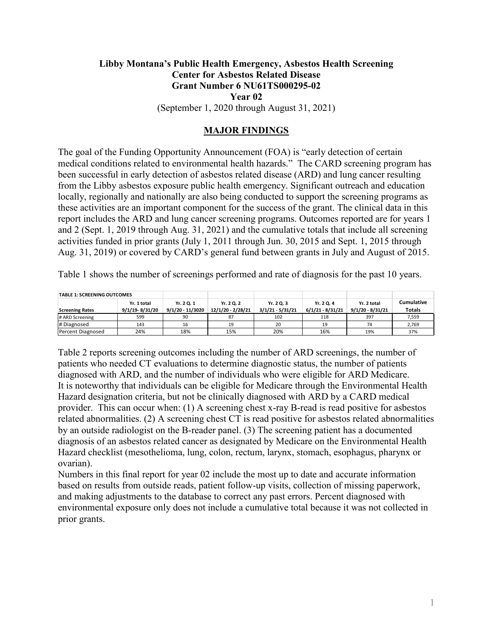## **Libby Montana's Public Health Emergency, Asbestos Health Screening Center for Asbestos Related Disease Grant Number 6 NU61TS000295-02 Year 02** (September 1, 2020 through August 31, 2021)

### **MAJOR FINDINGS**

The goal of the Funding Opportunity Announcement (FOA) is "early detection of certain medical conditions related to environmental health hazards." The CARD screening program has been successful in early detection of asbestos related disease (ARD) and lung cancer resulting from the Libby asbestos exposure public health emergency. Significant outreach and education locally, regionally and nationally are also being conducted to support the screening programs as these activities are an important component for the success of the grant. The clinical data in this report includes the ARD and lung cancer screening programs. Outcomes reported are for years 1 and 2 (Sept. 1, 2019 through Aug. 31, 2021) and the cumulative totals that include all screening activities funded in prior grants (July 1, 2011 through Jun. 30, 2015 and Sept. 1, 2015 through Aug. 31, 2019) or covered by CARD's general fund between grants in July and August of 2015.

Table 1 shows the number of screenings performed and rate of diagnosis for the past 10 years.

| <b>TABLE 1: SCREENING OUTCOMES</b> |                |                  |                   |                    |                    |                    |               |
|------------------------------------|----------------|------------------|-------------------|--------------------|--------------------|--------------------|---------------|
|                                    | Yr. 1 total    | Yr. 2 Q. 1       | Yr. 2 Q. 2        | Yr. 2 Q. 3         | Yr. 2 Q. 4         | Yr. 2 total        | Cumulative    |
| <b>Screening Rates</b>             | 9/1/19-8/31/20 | 9/1/20 - 11/3020 | 12/1/20 - 2/28/21 | $3/1/21 - 5/31/21$ | $6/1/21 - 8/31/21$ | $9/1/20 - 8/31/21$ | <b>Totals</b> |
| # ARD Screening                    | 599            | 90               | 87                | 102                | 118                | 397                | 7,559         |
| # Diagnosed                        | 143            | 16               | 19                | 20                 | 19                 | 74                 | 2,769         |
| Percent Diagnosed                  | 24%            | 18%              | 15%               | 20%                | 16%                | 19%                | 37%           |

Table 2 reports screening outcomes including the number of ARD screenings, the number of patients who needed CT evaluations to determine diagnostic status, the number of patients diagnosed with ARD, and the number of individuals who were eligible for ARD Medicare. It is noteworthy that individuals can be eligible for Medicare through the Environmental Health Hazard designation criteria, but not be clinically diagnosed with ARD by a CARD medical provider. This can occur when: (1) A screening chest x-ray B-read is read positive for asbestos related abnormalities. (2) A screening chest CT is read positive for asbestos related abnormalities by an outside radiologist on the B-reader panel. (3) The screening patient has a documented diagnosis of an asbestos related cancer as designated by Medicare on the Environmental Health Hazard checklist (mesothelioma, lung, colon, rectum, larynx, stomach, esophagus, pharynx or ovarian).

Numbers in this final report for year 02 include the most up to date and accurate information based on results from outside reads, patient follow-up visits, collection of missing paperwork, and making adjustments to the database to correct any past errors. Percent diagnosed with environmental exposure only does not include a cumulative total because it was not collected in prior grants.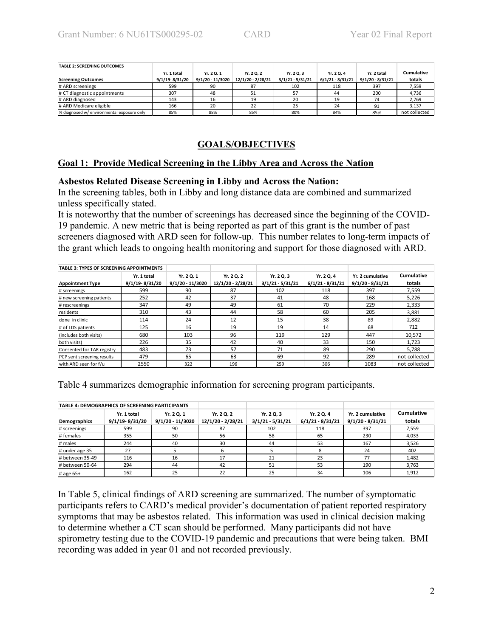| <b>TABLE 2: SCREENING OUTCOMES</b>         |                    |                    |                   |                    |                    |                    |               |
|--------------------------------------------|--------------------|--------------------|-------------------|--------------------|--------------------|--------------------|---------------|
|                                            | Yr. 1 total        | Yr. 2 Q. 1         | Yr. 2 Q. 2        | Yr. 2 Q. 3         | Yr. 2 Q. 4         | Yr. 2 total        | Cumulative    |
| <b>Screening Outcomes</b>                  | $9/1/19 - 8/31/20$ | $9/1/20 - 11/3020$ | 12/1/20 - 2/28/21 | $3/1/21 - 5/31/21$ | $6/1/21 - 8/31/21$ | $9/1/20 - 8/31/21$ | totals        |
| # ARD screenings                           | 599                | 90                 | 87                | 102                | 118                | 397                | 7,559         |
| # CT diagnostic appointments               | 307                | 48                 | 51                | 57                 | 44                 | 200                | 4,736         |
| # ARD diagnosed                            | 143                | 16                 | 19                | 20                 | 19                 | 74                 | 2,769         |
| # ARD Medicare eligible                    | 166                | 20                 | 22                | 25                 | 24                 | 91                 | 3,137         |
| % diagnosed w/ environmental exposure only | 85%                | 88%                | 85%               | 80%                | 84%                | 85%                | not collected |

# **GOALS/OBJECTIVES**

### **Goal 1: Provide Medical Screening in the Libby Area and Across the Nation**

### **Asbestos Related Disease Screening in Libby and Across the Nation:**

In the screening tables, both in Libby and long distance data are combined and summarized unless specifically stated.

It is noteworthy that the number of screenings has decreased since the beginning of the COVID-19 pandemic. A new metric that is being reported as part of this grant is the number of past screeners diagnosed with ARD seen for follow-up. This number relates to long-term impacts of the grant which leads to ongoing health monitoring and support for those diagnosed with ARD.

| <b>TABLE 3: TYPES OF SCREENING APPOINTMENTS</b> |                |                    |                   |                    |                    |                    |                   |
|-------------------------------------------------|----------------|--------------------|-------------------|--------------------|--------------------|--------------------|-------------------|
|                                                 | Yr. 1 total    | Yr. 2 Q. 1         | Yr. 2 Q. 2        | Yr. 2 Q. 3         | Yr. 2 Q. 4         | Yr. 2 cumulative   | <b>Cumulative</b> |
| <b>Appointment Type</b>                         | 9/1/19-8/31/20 | $9/1/20 - 11/3020$ | 12/1/20 - 2/28/21 | $3/1/21 - 5/31/21$ | $6/1/21 - 8/31/21$ | $9/1/20 - 8/31/21$ | totals            |
| # screenings                                    | 599            | 90                 | 87                | 102                | 118                | 397                | 7.559             |
| # new screening patients                        | 252            | 42                 | 37                | 41                 | 48                 | 168                | 5.226             |
| # rescreenings                                  | 347            | 49                 | 49                | 61                 | 70                 | 229                | 2,333             |
| <b>I</b> residents                              | 310            | 43                 | 44                | 58                 | 60                 | 205                | 3.881             |
| Idone in clinic                                 | 114            | 24                 | 12                | 15                 | 38                 | 89                 | 2,882             |
| # of LDS patients                               | 125            | 16                 | 19                | 19                 | 14                 | 68                 | 712               |
| (includes both visits)                          | 680            | 103                | 96                | 119                | 129                | 447                | 10,572            |
| both visits)                                    | 226            | 35                 | 42                | 40                 | 33                 | 150                | 1.723             |
| Consented for TAR registry                      | 483            | 73                 | 57                | 71                 | 89                 | 290                | 5.788             |
| PCP sent screening results                      | 479            | 65                 | 63                | 69                 | 92                 | 289                | not collected     |
| l with ARD seen for f/u                         | 2550           | 322                | 196               | 259                | 306                | 1083               | not collected     |

Table 4 summarizes demographic information for screening program participants.

|                 | <b>TABLE 4: DEMOGRAPHICS OF SCREENING PARTICIPANTS</b> |                                  |                                 |                                  |                                  |                                        |                             |
|-----------------|--------------------------------------------------------|----------------------------------|---------------------------------|----------------------------------|----------------------------------|----------------------------------------|-----------------------------|
| Demographics    | Yr. 1 total<br>9/1/19-8/31/20                          | Yr. 2 Q. 1<br>$9/1/20 - 11/3020$ | Yr. 2 Q. 2<br>12/1/20 - 2/28/21 | Yr. 2 Q. 3<br>$3/1/21 - 5/31/21$ | Yr. 2 Q. 4<br>$6/1/21 - 8/31/21$ | Yr. 2 cumulative<br>$9/1/20 - 8/31/21$ | <b>Cumulative</b><br>totals |
| # screenings    | 599                                                    | 90                               | 87                              | 102                              | 118                              | 397                                    | 7,559                       |
| # females       | 355                                                    | 50                               | 56                              | 58                               | 65                               | 230                                    | 4.033                       |
| # males         | 244                                                    | 40                               | 30                              | 44                               | 53                               | 167                                    | 3,526                       |
| # under age 35  | 27                                                     |                                  | 6                               |                                  | 8                                | 24                                     | 402                         |
| # between 35-49 | 116                                                    | 16                               | 17                              | 21                               | 23                               | 77                                     | 1,482                       |
| # between 50-64 | 294                                                    | 44                               | 42                              | 51                               | 53                               | 190                                    | 3,763                       |
| # age 65+       | 162                                                    | 25                               | 22                              | 25                               | 34                               | 106                                    | 1,912                       |

In Table 5, clinical findings of ARD screening are summarized. The number of symptomatic participants refers to CARD's medical provider's documentation of patient reported respiratory symptoms that may be asbestos related. This information was used in clinical decision making to determine whether a CT scan should be performed. Many participants did not have spirometry testing due to the COVID-19 pandemic and precautions that were being taken. BMI recording was added in year 01 and not recorded previously.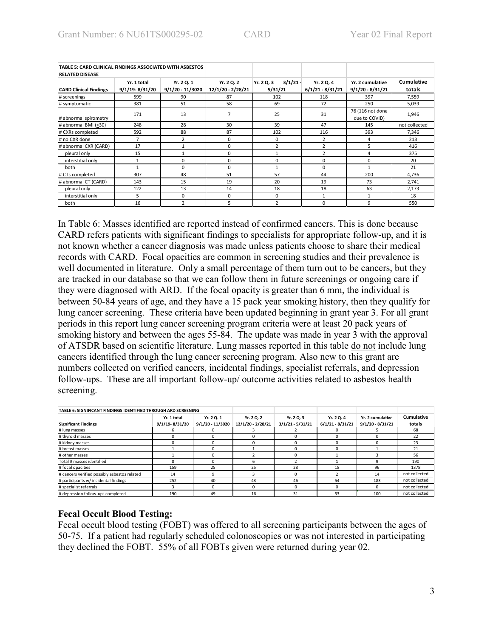| TABLE 5: CARD CLINICAL FINDINGS ASSOCIATED WITH ASBESTOS<br><b>RELATED DISEASE</b> |                               |                                |                                 |                                 |                                  |                                        |                             |
|------------------------------------------------------------------------------------|-------------------------------|--------------------------------|---------------------------------|---------------------------------|----------------------------------|----------------------------------------|-----------------------------|
| <b>CARD Clinical Findings</b>                                                      | Yr. 1 total<br>9/1/19-8/31/20 | Yr. 2 Q. 1<br>9/1/20 - 11/3020 | Yr. 2 Q. 2<br>12/1/20 - 2/28/21 | 3/1/21<br>Yr. 2 Q. 3<br>5/31/21 | Yr. 2 Q. 4<br>$6/1/21 - 8/31/21$ | Yr. 2 cumulative<br>$9/1/20 - 8/31/21$ | <b>Cumulative</b><br>totals |
| # screenings                                                                       | 599                           | 90                             | 87                              | 102                             | 118                              | 397                                    | 7,559                       |
| # symptomatic                                                                      | 381                           | 51                             | 58                              | 69                              | 72                               | 250                                    | 5,039                       |
| # abnormal spirometry                                                              | 171                           | 13                             | 7                               | 25                              | 31                               | 76 (116 not done<br>due to COVID)      | 1,946                       |
| # abnormal BMI (>30)                                                               | 248                           | 28                             | 30                              | 39                              | 47                               | 145                                    | not collected               |
| # CXRs completed                                                                   | 592                           | 88                             | 87                              | 102                             | 116                              | 393                                    | 7,346                       |
| # no CXR done                                                                      | 7                             | 2                              | 0                               | 0                               | 2                                | 4                                      | 213                         |
| # abnormal CXR (CARD)                                                              | 17                            |                                | 0                               | $\overline{a}$                  | $\overline{2}$                   | 5                                      | 416                         |
| pleural only                                                                       | 15                            |                                | 0                               |                                 | $\overline{2}$                   | 4                                      | 375                         |
| interstitial only                                                                  |                               | 0                              | 0                               | $\Omega$                        | $\Omega$                         | $\Omega$                               | 20                          |
| both                                                                               | 1                             | $\Omega$                       | $\Omega$                        |                                 | $\Omega$                         | 1                                      | 21                          |
| # CTs completed                                                                    | 307                           | 48                             | 51                              | 57                              | 44                               | 200                                    | 4,736                       |
| # abnormal CT (CARD)                                                               | 143                           | 15                             | 19                              | 20                              | 19                               | 73                                     | 2,741                       |
| pleural only                                                                       | 122                           | 13                             | 14                              | 18                              | 18                               | 63                                     | 2,173                       |
| interstitial only                                                                  | 5.                            | $\Omega$                       | $\Omega$                        | $\Omega$                        | $\mathbf{1}$                     | $\mathbf{1}$                           | 18                          |
| both                                                                               | 16                            | $\overline{2}$                 | 5                               | $\overline{2}$                  | $\Omega$                         | 9                                      | 550                         |

In Table 6: Masses identified are reported instead of confirmed cancers. This is done because CARD refers patients with significant findings to specialists for appropriate follow-up, and it is not known whether a cancer diagnosis was made unless patients choose to share their medical records with CARD. Focal opacities are common in screening studies and their prevalence is well documented in literature. Only a small percentage of them turn out to be cancers, but they are tracked in our database so that we can follow them in future screenings or ongoing care if they were diagnosed with ARD. If the focal opacity is greater than 6 mm, the individual is between 50-84 years of age, and they have a 15 pack year smoking history, then they qualify for lung cancer screening. These criteria have been updated beginning in grant year 3. For all grant periods in this report lung cancer screening program criteria were at least 20 pack years of smoking history and between the ages 55-84. The update was made in year 3 with the approval of ATSDR based on scientific literature. Lung masses reported in this table do not include lung cancers identified through the lung cancer screening program. Also new to this grant are numbers collected on verified cancers, incidental findings, specialist referrals, and depression follow-ups. These are all important follow-up/ outcome activities related to asbestos health screening.

| TABLE 6: SIGNIFICANT FINDINGS IDENTIFIED THROUGH ARD SCREENING |                    |                    |                   |                    |                    |                    |               |
|----------------------------------------------------------------|--------------------|--------------------|-------------------|--------------------|--------------------|--------------------|---------------|
|                                                                | Yr. 1 total        | Yr. 2 Q. 1         | Yr. 2 Q. 2        | Yr. 2 Q. 3         | Yr. 2 Q. 4         | Yr. 2 cumulative   | Cumulative    |
| <b>Significant Findings</b>                                    | $9/1/19 - 8/31/20$ | $9/1/20 - 11/3020$ | 12/1/20 - 2/28/21 | $3/1/21 - 5/31/21$ | $6/1/21 - 8/31/21$ | $9/1/20 - 8/31/21$ | totals        |
| # lung masses                                                  |                    |                    |                   |                    |                    |                    | 68            |
| # thyroid masses                                               |                    |                    |                   |                    |                    |                    | 22            |
| # kidney masses                                                |                    |                    |                   |                    |                    |                    | 23            |
| # breast masses                                                |                    |                    |                   |                    |                    |                    | 21            |
| # other masses                                                 |                    |                    |                   |                    |                    |                    | 56            |
| Total # masses identified                                      |                    |                    |                   |                    |                    |                    | 190           |
| # focal opacities                                              | 159                | 25                 | 25                | 28                 | 18                 | 96                 | 1378          |
| # cancers verified possibly asbestos related                   | 14                 |                    |                   |                    |                    | 14                 | not collected |
| # participants w/ incidental findings                          | 252                | 40                 | 43                | 46                 | 54                 | 183                | not collected |
| # specialist referrals                                         |                    |                    |                   |                    |                    |                    | not collected |
| # depression follow-ups completed                              | 190                | 49                 | 16                | 31                 | 53                 | 100                | not collected |

### **Fecal Occult Blood Testing:**

Fecal occult blood testing (FOBT) was offered to all screening participants between the ages of 50-75. If a patient had regularly scheduled colonoscopies or was not interested in participating they declined the FOBT. 55% of all FOBTs given were returned during year 02.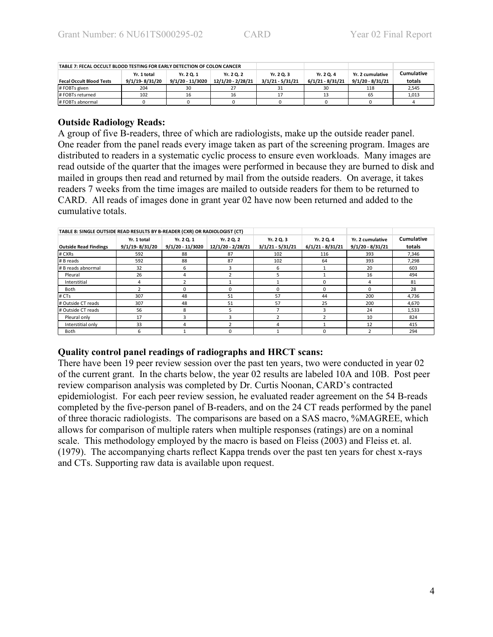| TABLE 7: FECAL OCCULT BLOOD TESTING FOR EARLY DETECTION OF COLON CANCER |                |                  |                   |                    |                    |                    |            |
|-------------------------------------------------------------------------|----------------|------------------|-------------------|--------------------|--------------------|--------------------|------------|
|                                                                         | Yr. 1 total    | Yr. 2 Q. 1       | Yr. 2 Q. 2        | Yr. 2 Q. 3         | Yr. 2 Q. 4         | Yr. 2 cumulative   | Cumulative |
| <b>Fecal Occult Blood Tests</b>                                         | 9/1/19-8/31/20 | 9/1/20 - 11/3020 | 12/1/20 - 2/28/21 | $3/1/21 - 5/31/21$ | $6/1/21 - 8/31/21$ | $9/1/20 - 8/31/21$ | totals     |
| # FOBTs given                                                           | 204            |                  |                   | 31                 | 30                 | 118                | 2,545      |
| # FOBTs returned                                                        | 102            | 16               | 16                | 17                 |                    | 65                 | 1,013      |
| # FOBTs abnormal                                                        |                |                  |                   |                    |                    |                    |            |

### **Outside Radiology Reads:**

A group of five B-readers, three of which are radiologists, make up the outside reader panel. One reader from the panel reads every image taken as part of the screening program. Images are distributed to readers in a systematic cyclic process to ensure even workloads. Many images are read outside of the quarter that the images were performed in because they are burned to disk and mailed in groups then read and returned by mail from the outside readers. On average, it takes readers 7 weeks from the time images are mailed to outside readers for them to be returned to CARD. All reads of images done in grant year 02 have now been returned and added to the cumulative totals.

| TABLE 8: SINGLE OUTSIDE READ RESULTS BY B-READER (CXR) OR RADIOLOGIST (CT) |                                   |                                |                                 |                                  |                                  |                                        |                      |
|----------------------------------------------------------------------------|-----------------------------------|--------------------------------|---------------------------------|----------------------------------|----------------------------------|----------------------------------------|----------------------|
| <b>Outside Read Findings</b>                                               | Yr. 1 total<br>$9/1/19 - 8/31/20$ | Yr. 2 Q. 1<br>9/1/20 - 11/3020 | Yr. 2 Q. 2<br>12/1/20 - 2/28/21 | Yr. 2 Q. 3<br>$3/1/21 - 5/31/21$ | Yr. 2 Q. 4<br>$6/1/21 - 8/31/21$ | Yr. 2 cumulative<br>$9/1/20 - 8/31/21$ | Cumulative<br>totals |
| # CXRs                                                                     | 592                               | 88                             | 87                              | 102                              | 116                              | 393                                    | 7,346                |
| # B reads                                                                  | 592                               | 88                             | 87                              | 102                              | 64                               | 393                                    | 7.298                |
| # B reads abnormal                                                         | 32                                | 6                              | 3                               | 6                                |                                  | 20                                     | 603                  |
| Pleural                                                                    | 26                                | 4                              |                                 |                                  |                                  | 16                                     | 494                  |
| Interstitial                                                               | 4                                 |                                |                                 |                                  |                                  | 4                                      | 81                   |
| Both                                                                       |                                   | <sup>0</sup>                   | 0                               | $\Omega$                         |                                  | 0                                      | 28                   |
| # CTs                                                                      | 307                               | 48                             | 51                              | 57                               | 44                               | 200                                    | 4.736                |
| # Outside CT reads                                                         | 307                               | 48                             | 51                              | 57                               | 25                               | 200                                    | 4,670                |
| # Outside CT reads                                                         | 56                                | 8                              | 5                               |                                  |                                  | 24                                     | 1,533                |
| Pleural only                                                               | 17                                |                                | ς                               |                                  |                                  | 10                                     | 824                  |
| Interstitial only                                                          | 33                                | 4                              |                                 | Δ                                |                                  | 12                                     | 415                  |
| Both                                                                       | 6                                 |                                | 0                               |                                  |                                  | $\mathcal{P}$                          | 294                  |

### **Quality control panel readings of radiographs and HRCT scans:**

There have been 19 peer review session over the past ten years, two were conducted in year 02 of the current grant. In the charts below, the year 02 results are labeled 10A and 10B. Post peer review comparison analysis was completed by Dr. Curtis Noonan, CARD's contracted epidemiologist. For each peer review session, he evaluated reader agreement on the 54 B-reads completed by the five-person panel of B-readers, and on the 24 CT reads performed by the panel of three thoracic radiologists. The comparisons are based on a SAS macro, %MAGREE, which allows for comparison of multiple raters when multiple responses (ratings) are on a nominal scale. This methodology employed by the macro is based on Fleiss (2003) and Fleiss et. al. (1979). The accompanying charts reflect Kappa trends over the past ten years for chest x-rays and CTs. Supporting raw data is available upon request.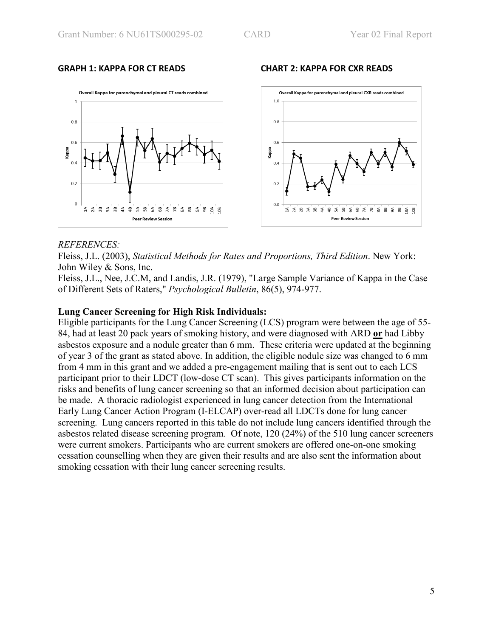

### *REFERENCES:*

Fleiss, J.L. (2003), *Statistical Methods for Rates and Proportions, Third Edition*. New York: John Wiley & Sons, Inc.

Fleiss, J.L., Nee, J.C.M, and Landis, J.R. (1979), "Large Sample Variance of Kappa in the Case of Different Sets of Raters," *Psychological Bulletin*, 86(5), 974-977.

### **Lung Cancer Screening for High Risk Individuals:**

Eligible participants for the Lung Cancer Screening (LCS) program were between the age of 55- 84, had at least 20 pack years of smoking history, and were diagnosed with ARD **or** had Libby asbestos exposure and a nodule greater than 6 mm. These criteria were updated at the beginning of year 3 of the grant as stated above. In addition, the eligible nodule size was changed to 6 mm from 4 mm in this grant and we added a pre-engagement mailing that is sent out to each LCS participant prior to their LDCT (low-dose CT scan). This gives participants information on the risks and benefits of lung cancer screening so that an informed decision about participation can be made. A thoracic radiologist experienced in lung cancer detection from the International Early Lung Cancer Action Program (I-ELCAP) over-read all LDCTs done for lung cancer screening. Lung cancers reported in this table do not include lung cancers identified through the asbestos related disease screening program. Of note, 120 (24%) of the 510 lung cancer screeners were current smokers. Participants who are current smokers are offered one-on-one smoking cessation counselling when they are given their results and are also sent the information about smoking cessation with their lung cancer screening results.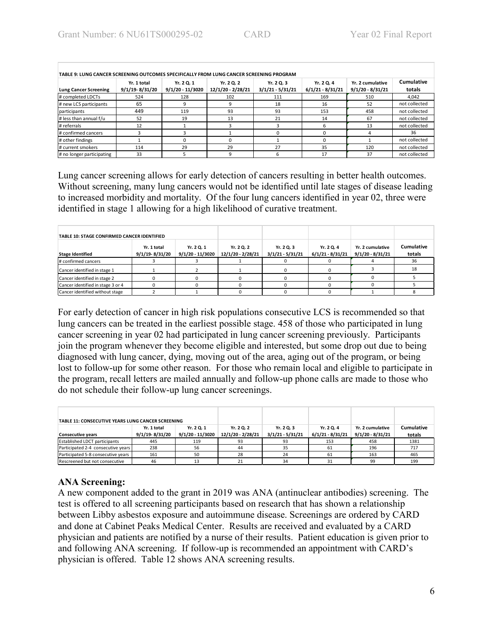|                              | Yr. 1 total    | Yr. 2 Q. 1       | Yr. 2 Q. 2        | Yr. 2 Q. 3         | Yr. 2 Q. 4         | Yr. 2 cumulative   | Cumulative    |
|------------------------------|----------------|------------------|-------------------|--------------------|--------------------|--------------------|---------------|
| <b>Lung Cancer Screening</b> | 9/1/19-8/31/20 | 9/1/20 - 11/3020 | 12/1/20 - 2/28/21 | $3/1/21 - 5/31/21$ | $6/1/21 - 8/31/21$ | $9/1/20 - 8/31/21$ | totals        |
| # completed LDCTs            | 524            | 128              | 102               | 111                | 169                | 510                | 4.042         |
| # new LCS participants       | 65             |                  | 9                 | 18                 | 16                 | 52                 | not collected |
| participants                 | 449            | 119              | 93                | 93                 | 153                | 458                | not collected |
| # less than annual f/u       | 52             | 19               | 13                | 21                 | 14                 | 67                 | not collected |
| # referrals                  | 12             |                  |                   |                    |                    | 13                 | not collected |
| # confirmed cancers          |                |                  |                   |                    |                    |                    | 36            |
| # other findings             |                |                  | 0                 |                    |                    |                    | not collected |
| # current smokers            | 114            | 29               | 29                | 27                 | 35                 | 120                | not collected |
| # no longer participating    | 33             |                  | 9                 | 6                  | 17                 | 37                 | not collected |

Lung cancer screening allows for early detection of cancers resulting in better health outcomes. Without screening, many lung cancers would not be identified until late stages of disease leading to increased morbidity and mortality. Of the four lung cancers identified in year 02, three were identified in stage 1 allowing for a high likelihood of curative treatment.

| TABLE 10: STAGE CONFIRMED CANCER IDENTIFIED |                                   |                                  |                                 |                                  |                                  |                                        |                             |
|---------------------------------------------|-----------------------------------|----------------------------------|---------------------------------|----------------------------------|----------------------------------|----------------------------------------|-----------------------------|
| <b>Stage Identified</b>                     | Yr. 1 total<br>$9/1/19 - 8/31/20$ | Yr. 2 Q. 1<br>$9/1/20 - 11/3020$ | Yr. 2 Q. 2<br>12/1/20 - 2/28/21 | Yr. 2 Q. 3<br>$3/1/21 - 5/31/21$ | Yr. 2 Q. 4<br>$6/1/21 - 8/31/21$ | Yr. 2 cumulative<br>$9/1/20 - 8/31/21$ | <b>Cumulative</b><br>totals |
| # confirmed cancers                         |                                   |                                  |                                 |                                  |                                  |                                        | 36                          |
| Cancer identified in stage 1                |                                   |                                  |                                 |                                  |                                  |                                        | 18                          |
| Cancer identified in stage 2                |                                   |                                  |                                 |                                  |                                  |                                        |                             |
| Cancer identified in stage 3 or 4           |                                   |                                  |                                 |                                  |                                  |                                        |                             |
| Cancer identified without stage             |                                   |                                  |                                 |                                  |                                  |                                        |                             |

For early detection of cancer in high risk populations consecutive LCS is recommended so that lung cancers can be treated in the earliest possible stage. 458 of those who participated in lung cancer screening in year 02 had participated in lung cancer screening previously. Participants join the program whenever they become eligible and interested, but some drop out due to being diagnosed with lung cancer, dying, moving out of the area, aging out of the program, or being lost to follow-up for some other reason. For those who remain local and eligible to participate in the program, recall letters are mailed annually and follow-up phone calls are made to those who do not schedule their follow-up lung cancer screenings.

| TABLE 11: CONSECUTIVE YEARS LUNG CANCER SCREENING |                |                    |                   |                    |                    |                    |            |
|---------------------------------------------------|----------------|--------------------|-------------------|--------------------|--------------------|--------------------|------------|
|                                                   | Yr. 1 total    | Yr. 2 Q. 1         | Yr. 2 Q. 2        | Yr. 2 Q. 3         | Yr. 2 Q. 4         | Yr. 2 cumulative   | Cumulative |
| <b>Consecutive years</b>                          | 9/1/19-8/31/20 | $9/1/20 - 11/3020$ | 12/1/20 - 2/28/21 | $3/1/21 - 5/31/21$ | $6/1/21 - 8/31/21$ | $9/1/20 - 8/31/21$ | totals     |
| <b>Established LDCT participants</b>              | 445            | 119                | 93                | 93                 | 153                | 458                | 1381       |
| Participated 2-4 consecutive years                | 238            | 56                 | 44                | 35                 | 61                 | 196                | 717        |
| Participated 5-8 consecutive years                | 161            | 50                 | 28                | 24                 | 61                 | 163                | 465        |
| Rescreened but not consecutive                    | 46             | 13                 | 21                | 34                 | 31                 | 99                 | 199        |

## **ANA Screening:**

A new component added to the grant in 2019 was ANA (antinuclear antibodies) screening. The test is offered to all screening participants based on research that has shown a relationship between Libby asbestos exposure and autoimmune disease. Screenings are ordered by CARD and done at Cabinet Peaks Medical Center. Results are received and evaluated by a CARD physician and patients are notified by a nurse of their results. Patient education is given prior to and following ANA screening. If follow-up is recommended an appointment with CARD's physician is offered. Table 12 shows ANA screening results.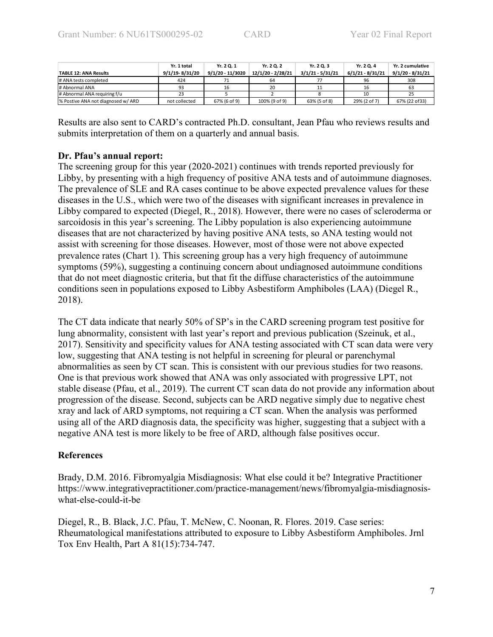|                                    | Yr. 1 total    | Yr. 2 Q. 1       | Yr. 2 Q. 2        | Yr. 2 Q. 3         | Yr. 2 Q. 4         | Yr. 2 cumulative   |
|------------------------------------|----------------|------------------|-------------------|--------------------|--------------------|--------------------|
| <b>TABLE 12: ANA Results</b>       | 9/1/19-8/31/20 | 9/1/20 - 11/3020 | 12/1/20 - 2/28/21 | $3/1/21 - 5/31/21$ | $6/1/21 - 8/31/21$ | $9/1/20 - 8/31/21$ |
| # ANA tests completed              | 424            |                  | 64                |                    | 96                 | 308                |
| # Abnormal ANA                     | 93             | 16               | 20                |                    | 16                 | 63                 |
| # Abnormal ANA requiring f/u       | 23             |                  |                   |                    | 10                 | 25                 |
| % Postive ANA not diagnosed w/ ARD | not collected  | 67% (6 of 9)     | 100% (9 of 9)     | 63% (5 of 8)       | 29% (2 of 7)       | 67% (22 of 33)     |

Results are also sent to CARD's contracted Ph.D. consultant, Jean Pfau who reviews results and submits interpretation of them on a quarterly and annual basis.

### **Dr. Pfau's annual report:**

The screening group for this year (2020-2021) continues with trends reported previously for Libby, by presenting with a high frequency of positive ANA tests and of autoimmune diagnoses. The prevalence of SLE and RA cases continue to be above expected prevalence values for these diseases in the U.S., which were two of the diseases with significant increases in prevalence in Libby compared to expected (Diegel, R., 2018). However, there were no cases of scleroderma or sarcoidosis in this year's screening. The Libby population is also experiencing autoimmune diseases that are not characterized by having positive ANA tests, so ANA testing would not assist with screening for those diseases. However, most of those were not above expected prevalence rates (Chart 1). This screening group has a very high frequency of autoimmune symptoms (59%), suggesting a continuing concern about undiagnosed autoimmune conditions that do not meet diagnostic criteria, but that fit the diffuse characteristics of the autoimmune conditions seen in populations exposed to Libby Asbestiform Amphiboles (LAA) (Diegel R., 2018).

The CT data indicate that nearly 50% of SP's in the CARD screening program test positive for lung abnormality, consistent with last year's report and previous publication (Szeinuk, et al., 2017). Sensitivity and specificity values for ANA testing associated with CT scan data were very low, suggesting that ANA testing is not helpful in screening for pleural or parenchymal abnormalities as seen by CT scan. This is consistent with our previous studies for two reasons. One is that previous work showed that ANA was only associated with progressive LPT, not stable disease (Pfau, et al., 2019). The current CT scan data do not provide any information about progression of the disease. Second, subjects can be ARD negative simply due to negative chest xray and lack of ARD symptoms, not requiring a CT scan. When the analysis was performed using all of the ARD diagnosis data, the specificity was higher, suggesting that a subject with a negative ANA test is more likely to be free of ARD, although false positives occur.

## **References**

Brady, D.M. 2016. Fibromyalgia Misdiagnosis: What else could it be? Integrative Practitioner https://www.integrativepractitioner.com/practice-management/news/fibromyalgia-misdiagnosiswhat-else-could-it-be

Diegel, R., B. Black, J.C. Pfau, T. McNew, C. Noonan, R. Flores. 2019. Case series: Rheumatological manifestations attributed to exposure to Libby Asbestiform Amphiboles. Jrnl Tox Env Health, Part A 81(15):734-747.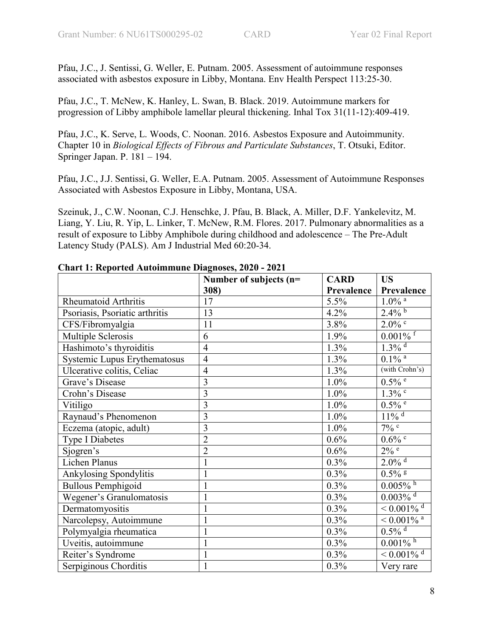Pfau, J.C., J. Sentissi, G. Weller, E. Putnam. 2005. Assessment of autoimmune responses associated with asbestos exposure in Libby, Montana. Env Health Perspect 113:25-30.

Pfau, J.C., T. McNew, K. Hanley, L. Swan, B. Black. 2019. Autoimmune markers for progression of Libby amphibole lamellar pleural thickening. Inhal Tox 31(11-12):409-419.

Pfau, J.C., K. Serve, L. Woods, C. Noonan. 2016. Asbestos Exposure and Autoimmunity. Chapter 10 in *Biological Effects of Fibrous and Particulate Substances*, T. Otsuki, Editor. Springer Japan. P. 181 – 194.

Pfau, J.C., J.J. Sentissi, G. Weller, E.A. Putnam. 2005. Assessment of Autoimmune Responses Associated with Asbestos Exposure in Libby, Montana, USA.

Szeinuk, J., C.W. Noonan, C.J. Henschke, J. Pfau, B. Black, A. Miller, D.F. Yankelevitz, M. Liang, Y. Liu, R. Yip, L. Linker, T. McNew, R.M. Flores. 2017. Pulmonary abnormalities as a result of exposure to Libby Amphibole during childhood and adolescence – The Pre-Adult Latency Study (PALS). Am J Industrial Med 60:20-34.

| $\sim$ and $\sim$ 1.0 $\sim$ 0.0 $\sim$ 0.0 $\sim$ 1.0 $\sim$ 0.0 $\sim$ 0.0 $\sim$ 0.0 $\sim$ 0.0 $\sim$ | <b>CARD</b>                    | <b>US</b>  |                                       |
|-----------------------------------------------------------------------------------------------------------|--------------------------------|------------|---------------------------------------|
|                                                                                                           | Number of subjects (n=<br>308) | Prevalence | Prevalence                            |
| <b>Rheumatoid Arthritis</b>                                                                               | 17                             | 5.5%       | $1.0\%$ $^{\rm a}$                    |
| Psoriasis, Psoriatic arthritis                                                                            | 13                             | 4.2%       | $2.\overline{4\%}^{\,b}$              |
| CFS/Fibromyalgia                                                                                          | 11                             | 3.8%       | $2.0\%$ $^{\rm c}$                    |
| Multiple Sclerosis                                                                                        | 6                              | 1.9%       | $0.001\sqrt[9]{6}$ <sup>f</sup>       |
| Hashimoto's thyroiditis                                                                                   | $\overline{4}$                 | 1.3%       | $1.3\%$ <sup>d</sup>                  |
| Systemic Lupus Erythematosus                                                                              | $\overline{4}$                 | 1.3%       | $0.1\%$ <sup>a</sup>                  |
| Ulcerative colitis, Celiac                                                                                | $\overline{4}$                 | 1.3%       | (with Crohn's)                        |
| Grave's Disease                                                                                           | 3                              | 1.0%       | $0.5\%$ <sup>e</sup>                  |
| Crohn's Disease                                                                                           | 3                              | 1.0%       | $1.3\sqrt{6}$                         |
| Vitiligo                                                                                                  | $\overline{3}$                 | 1.0%       | $0.5\%$ <sup>e</sup>                  |
| Raynaud's Phenomenon                                                                                      | $\overline{3}$                 | 1.0%       | $11\%$ <sup>d</sup>                   |
| Eczema (atopic, adult)                                                                                    | $\overline{3}$                 | 1.0%       | $7\%$ c                               |
| <b>Type I Diabetes</b>                                                                                    | $\overline{2}$                 | 0.6%       | $0.6\%$ c                             |
| Sjogren's                                                                                                 | $\overline{2}$                 | 0.6%       | $2\%$ e                               |
| Lichen Planus                                                                                             | 1                              | 0.3%       | $2.0\%$ <sup>d</sup>                  |
| Ankylosing Spondylitis                                                                                    | $\mathbf{1}$                   | 0.3%       | $0.5\%$ <sup>g</sup>                  |
| <b>Bullous Pemphigoid</b>                                                                                 |                                | $0.3\%$    | $0.005\sqrt[5]{\cdot h}$              |
| Wegener's Granulomatosis                                                                                  | $\mathbf{1}$                   | 0.3%       | $0.003\sqrt[4]{\bullet}$ <sup>d</sup> |
| Dermatomyositis                                                                                           | $\mathbf{1}$                   | 0.3%       | $< 0.001\%$ <sup>d</sup>              |
| Narcolepsy, Autoimmune                                                                                    | $\mathbf{1}$                   | 0.3%       | $\sqrt{0.001\%}$ <sup>a</sup>         |
| Polymyalgia rheumatica                                                                                    | 1                              | 0.3%       | $0.5\%$ <sup>d</sup>                  |
| Uveitis, autoimmune                                                                                       | $\mathbf{1}$                   | 0.3%       | $0.00\overline{1\%}$ <sup>h</sup>     |
| Reiter's Syndrome                                                                                         | $\mathbf{1}$                   | 0.3%       | $< 0.001\%$ <sup>d</sup>              |
| Serpiginous Chorditis                                                                                     | $\mathbf{1}$                   | 0.3%       | Very rare                             |

| <b>Chart 1: Reported Autoimmune Diagnoses, 2020 - 2021</b> |  |  |
|------------------------------------------------------------|--|--|
|------------------------------------------------------------|--|--|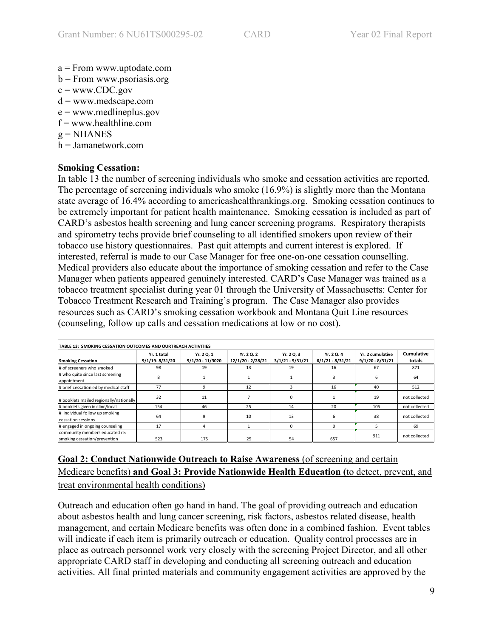- a = From www.uptodate.com
- b = From www.psoriasis.org
- $c =$  www.CDC.gov
- $d =$ www.medscape.com
- $e =$  www.medlineplus.gov
- $f =$ www.healthline.com
- $g = NHANES$
- h = Jamanetwork.com

# **Smoking Cessation:**

In table 13 the number of screening individuals who smoke and cessation activities are reported. The percentage of screening individuals who smoke (16.9%) is slightly more than the Montana state average of 16.4% according to americashealthrankings.org. Smoking cessation continues to be extremely important for patient health maintenance. Smoking cessation is included as part of CARD's asbestos health screening and lung cancer screening programs. Respiratory therapists and spirometry techs provide brief counseling to all identified smokers upon review of their tobacco use history questionnaires. Past quit attempts and current interest is explored. If interested, referral is made to our Case Manager for free one-on-one cessation counselling. Medical providers also educate about the importance of smoking cessation and refer to the Case Manager when patients appeared genuinely interested. CARD's Case Manager was trained as a tobacco treatment specialist during year 01 through the University of Massachusetts: Center for Tobacco Treatment Research and Training's program. The Case Manager also provides resources such as CARD's smoking cessation workbook and Montana Quit Line resources (counseling, follow up calls and cessation medications at low or no cost).

| <b>TABLE 13: SMOKING CESSATION OUTCOMES AND OURTREACH ACTIVITIES</b> |                                   |                                |                                 |                                  |                                  |                                        |                      |  |  |  |
|----------------------------------------------------------------------|-----------------------------------|--------------------------------|---------------------------------|----------------------------------|----------------------------------|----------------------------------------|----------------------|--|--|--|
| <b>Smoking Cessation</b>                                             | Yr. 1 total<br>$9/1/19 - 8/31/20$ | Yr. 2 Q. 1<br>9/1/20 - 11/3020 | Yr. 2 Q. 2<br>12/1/20 - 2/28/21 | Yr. 2 Q. 3<br>$3/1/21 - 5/31/21$ | Yr. 2 Q. 4<br>$6/1/21 - 8/31/21$ | Yr. 2 cumulative<br>$9/1/20 - 8/31/21$ | Cumulative<br>totals |  |  |  |
| # of screeners who smoked                                            | 98                                | 19                             | 13                              | 19                               | 16                               | 67                                     | 871                  |  |  |  |
| # who quite since last screening<br>appointment                      | 8                                 |                                |                                 |                                  |                                  |                                        | 64                   |  |  |  |
| # brief cessation ed by medical staff                                | 77                                | 9                              | 12                              | 3                                | 16                               | 40                                     | 512                  |  |  |  |
| # booklets mailed regionally/nationally                              | 32                                | 11                             |                                 | 0                                |                                  | 19                                     | not collected        |  |  |  |
| # booklets given in clinc/local                                      | 154                               | 46                             | 25                              | 14                               | 20                               | 105                                    | not collected        |  |  |  |
| # individual follow up smoking<br>cessation sessions                 | 64                                | q                              | 10                              | 13                               | 6                                | 38                                     | not collected        |  |  |  |
| # engaged in ongoing counseling                                      | 17                                |                                |                                 | $\Omega$                         | $\Omega$                         |                                        | 69                   |  |  |  |
| community members educated re:<br>smoking cessation/prevention       | 523                               | 175                            | 25                              | 54                               | 657                              | 911                                    | not collected        |  |  |  |

# **Goal 2: Conduct Nationwide Outreach to Raise Awareness** (of screening and certain Medicare benefits) **and Goal 3: Provide Nationwide Health Education (**to detect, prevent, and treat environmental health conditions)

Outreach and education often go hand in hand. The goal of providing outreach and education about asbestos health and lung cancer screening, risk factors, asbestos related disease, health management, and certain Medicare benefits was often done in a combined fashion. Event tables will indicate if each item is primarily outreach or education. Quality control processes are in place as outreach personnel work very closely with the screening Project Director, and all other appropriate CARD staff in developing and conducting all screening outreach and education activities. All final printed materials and community engagement activities are approved by the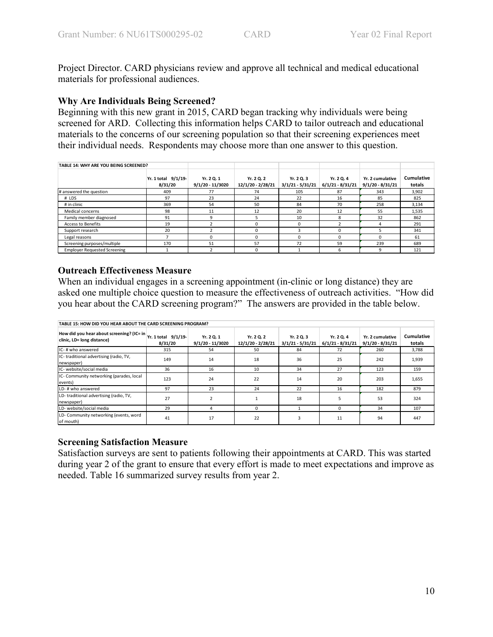Project Director. CARD physicians review and approve all technical and medical educational materials for professional audiences.

### **Why Are Individuals Being Screened?**

Beginning with this new grant in 2015, CARD began tracking why individuals were being screened for ARD. Collecting this information helps CARD to tailor outreach and educational materials to the concerns of our screening population so that their screening experiences meet their individual needs. Respondents may choose more than one answer to this question.

| TABLE 14: WHY ARE YOU BEING SCREENED? |                                |                                |                                 |                                  |                                  |                                        |                      |
|---------------------------------------|--------------------------------|--------------------------------|---------------------------------|----------------------------------|----------------------------------|----------------------------------------|----------------------|
|                                       | Yr. 1 total 9/1/19-<br>8/31/20 | Yr. 2 Q. 1<br>9/1/20 - 11/3020 | Yr. 2 Q. 2<br>12/1/20 - 2/28/21 | Yr. 2 Q. 3<br>$3/1/21 - 5/31/21$ | Yr. 2 Q. 4<br>$6/1/21 - 8/31/21$ | Yr. 2 cumulative<br>$9/1/20 - 8/31/21$ | Cumulative<br>totals |
| # answered the question               | 409                            | 77                             | 74                              | 105                              | 87                               | 343                                    | 3,902                |
| # LDS                                 | 97                             | 23                             | 24                              | 22                               | 16                               | 85                                     | 825                  |
| # in clinic                           | 369                            | 54                             | 50                              | 84                               | 70                               | 258                                    | 3,134                |
| Medical concerns                      | 98                             | 11                             | 12                              | 20                               | 12                               | 55                                     | 1,535                |
| Family member diagnosed               | 91                             | 9                              |                                 | 10                               | 8                                | 32                                     | 862                  |
| <b>Access to Benefits</b>             | 19                             |                                |                                 | $\Omega$                         |                                  | 4                                      | 291                  |
| Support research                      | 20                             |                                | $\Omega$                        | 3                                | $\Omega$                         |                                        | 341                  |
| Legal reasons                         |                                | $\Omega$                       | n                               | $\Omega$                         | $\Omega$                         | $\Omega$                               | 61                   |
| Screening purposes/multiple           | 170                            | 51                             | 57                              | 72                               | 59                               | 239                                    | 689                  |
| <b>Employer Requested Screening</b>   |                                |                                | $\Omega$                        |                                  | 6                                | 9                                      | 121                  |

## **Outreach Effectiveness Measure**

When an individual engages in a screening appointment (in-clinic or long distance) they are asked one multiple choice question to measure the effectiveness of outreach activities. "How did you hear about the CARD screening program?" The answers are provided in the table below.

| TABLE 15: HOW DID YOU HEAR ABOUT THE CARD SCREENING PROGRAM?            |                                |                                  |                                 |                                  |                                  |                                        |                      |  |  |  |  |
|-------------------------------------------------------------------------|--------------------------------|----------------------------------|---------------------------------|----------------------------------|----------------------------------|----------------------------------------|----------------------|--|--|--|--|
| How did you hear about screening? (IC= in<br>clinic, LD= long distance) | Yr. 1 total 9/1/19-<br>8/31/20 | Yr. 2 Q. 1<br>$9/1/20 - 11/3020$ | Yr. 2 Q. 2<br>12/1/20 - 2/28/21 | Yr. 2 Q. 3<br>$3/1/21 - 5/31/21$ | Yr. 2 Q. 4<br>$6/1/21 - 8/31/21$ | Yr. 2 cumulative<br>$9/1/20 - 8/31/21$ | Cumulative<br>totals |  |  |  |  |
| IC-# who answered                                                       | 315                            | 54                               | 50                              | 84                               | 72                               | 260                                    | 3,788                |  |  |  |  |
| IC-traditional advertising (radio, TV,<br>newspaper)                    | 149                            | 14                               | 18                              | 36                               | 25                               | 242                                    | 1,939                |  |  |  |  |
| IC- website/social media                                                | 36                             | 16                               | 10                              | 34                               | 27                               | 123                                    | 159                  |  |  |  |  |
| IC- Community networking (parades, local<br>events)                     | 123                            | 24                               | 22                              | 14                               | 20                               | 203                                    | 1,655                |  |  |  |  |
| LD-# who answered                                                       | 97                             | 23                               | 24                              | 22                               | 16                               | 182                                    | 879                  |  |  |  |  |
| LD-traditional advertising (radio, TV,<br>newspaper)                    | 27                             | $\overline{\mathbf{z}}$          |                                 | 18                               | 5                                | 53                                     | 324                  |  |  |  |  |
| LD- website/social media                                                | 29                             | 4                                | 0                               |                                  | $\Omega$                         | 34                                     | 107                  |  |  |  |  |
| LD- Community networking (events, word<br>of mouth)                     | 41                             | 17                               | 22                              | 3                                | 11                               | 94                                     | 447                  |  |  |  |  |

## **Screening Satisfaction Measure**

Satisfaction surveys are sent to patients following their appointments at CARD. This was started during year 2 of the grant to ensure that every effort is made to meet expectations and improve as needed. Table 16 summarized survey results from year 2.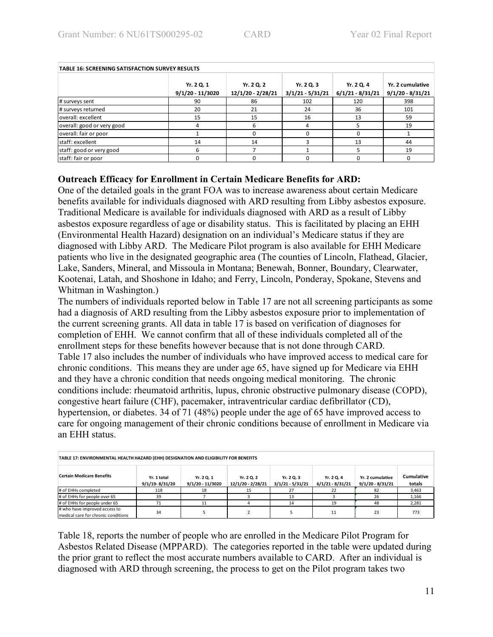| <b>TABLE 16: SCREENING SATISFACTION SURVEY RESULTS</b> |                                  |                                 |                                  |                                  |                                        |  |  |  |  |  |  |
|--------------------------------------------------------|----------------------------------|---------------------------------|----------------------------------|----------------------------------|----------------------------------------|--|--|--|--|--|--|
|                                                        | Yr. 2 Q. 1<br>$9/1/20 - 11/3020$ | Yr. 2 Q. 2<br>12/1/20 - 2/28/21 | Yr. 2 Q. 3<br>$3/1/21 - 5/31/21$ | Yr. 2 Q. 4<br>$6/1/21 - 8/31/21$ | Yr. 2 cumulative<br>$9/1/20 - 8/31/21$ |  |  |  |  |  |  |
| # surveys sent                                         | 90                               | 86                              | 102                              | 120                              | 398                                    |  |  |  |  |  |  |
| # surveys returned                                     | 20                               | 21                              | 24                               | 36                               | 101                                    |  |  |  |  |  |  |
| loverall: excellent                                    | 15                               | 15                              | 16                               | 13                               | 59                                     |  |  |  |  |  |  |
| overall: good or very good                             |                                  | h                               | 4                                |                                  | 19                                     |  |  |  |  |  |  |
| overall: fair or poor                                  |                                  |                                 | <sup>0</sup>                     | $\Omega$                         |                                        |  |  |  |  |  |  |
| staff: excellent                                       | 14                               | 14                              |                                  | 13                               | 44                                     |  |  |  |  |  |  |
| staff: good or very good                               |                                  |                                 |                                  |                                  | 19                                     |  |  |  |  |  |  |
| staff: fair or poor                                    |                                  |                                 | <sup>0</sup>                     | $\Omega$                         | 0                                      |  |  |  |  |  |  |

### **Outreach Efficacy for Enrollment in Certain Medicare Benefits for ARD:**

One of the detailed goals in the grant FOA was to increase awareness about certain Medicare benefits available for individuals diagnosed with ARD resulting from Libby asbestos exposure. Traditional Medicare is available for individuals diagnosed with ARD as a result of Libby asbestos exposure regardless of age or disability status. This is facilitated by placing an EHH (Environmental Health Hazard) designation on an individual's Medicare status if they are diagnosed with Libby ARD. The Medicare Pilot program is also available for EHH Medicare patients who live in the designated geographic area (The counties of Lincoln, Flathead, Glacier, Lake, Sanders, Mineral, and Missoula in Montana; Benewah, Bonner, Boundary, Clearwater, Kootenai, Latah, and Shoshone in Idaho; and Ferry, Lincoln, Ponderay, Spokane, Stevens and Whitman in Washington.)

The numbers of individuals reported below in Table 17 are not all screening participants as some had a diagnosis of ARD resulting from the Libby asbestos exposure prior to implementation of the current screening grants. All data in table 17 is based on verification of diagnoses for completion of EHH. We cannot confirm that all of these individuals completed all of the enrollment steps for these benefits however because that is not done through CARD. Table 17 also includes the number of individuals who have improved access to medical care for chronic conditions. This means they are under age 65, have signed up for Medicare via EHH and they have a chronic condition that needs ongoing medical monitoring. The chronic conditions include: rheumatoid arthritis, lupus, chronic obstructive pulmonary disease (COPD), congestive heart failure (CHF), pacemaker, intraventricular cardiac defibrillator (CD), hypertension, or diabetes. 34 of 71 (48%) people under the age of 65 have improved access to care for ongoing management of their chronic conditions because of enrollment in Medicare via an EHH status.

| TABLE 17: ENVIRONMENTAL HEALTH HAZARD (EHH) DESIGNATION AND ELIGIBILITY FOR BENEFITS |                               |                                  |                                 |                                  |                                  |                                        |                      |  |  |  |
|--------------------------------------------------------------------------------------|-------------------------------|----------------------------------|---------------------------------|----------------------------------|----------------------------------|----------------------------------------|----------------------|--|--|--|
| <b>Certain Medicare Benefits</b>                                                     | Yr. 1 total<br>9/1/19-8/31/20 | Yr. 2 Q. 1<br>$9/1/20 - 11/3020$ | Yr. 2 Q. 2<br>12/1/20 - 2/28/21 | Yr. 2 Q. 3<br>$3/1/21 - 5/31/21$ | Yr. 2 Q. 4<br>$6/1/21 - 8/31/21$ | Yr. 2 cumulative<br>$9/1/20 - 8/31/21$ | Cumulative<br>totals |  |  |  |
| # of EHHs completed                                                                  | 118                           | 18                               | 15                              | 27                               | 22                               | 82                                     | 3,463                |  |  |  |
| # of EHHs for people over 65                                                         | 39                            |                                  |                                 | 13                               |                                  | 26                                     | 1,166                |  |  |  |
| # of EHHs for people under 65                                                        | 71                            | 11                               |                                 | 14                               | 19                               | 48                                     | 2,281                |  |  |  |
| # who have improved access to<br>medical care for chronic conditions                 | 34                            |                                  |                                 |                                  | 11                               | 23                                     | 773                  |  |  |  |

Table 18, reports the number of people who are enrolled in the Medicare Pilot Program for Asbestos Related Disease (MPPARD). The categories reported in the table were updated during the prior grant to reflect the most accurate numbers available to CARD. After an individual is diagnosed with ARD through screening, the process to get on the Pilot program takes two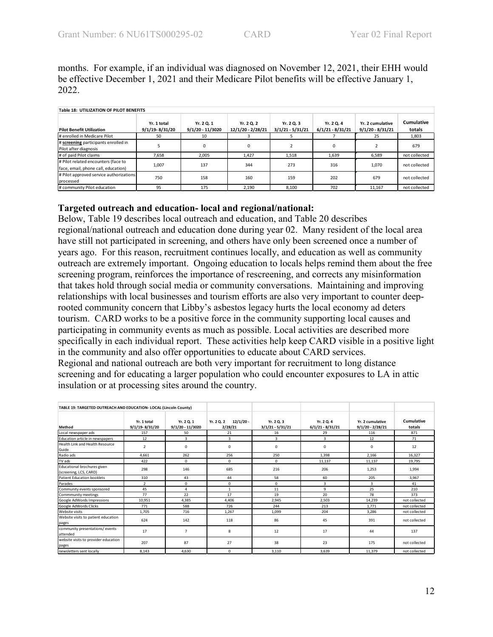months. For example, if an individual was diagnosed on November 12, 2021, their EHH would be effective December 1, 2021 and their Medicare Pilot benefits will be effective January 1, 2022.

| <b>Table 18: UTILIZATION OF PILOT BENEFITS</b>                             |                               |                                  |                                 |                                  |                                  |                                        |                      |  |  |  |  |
|----------------------------------------------------------------------------|-------------------------------|----------------------------------|---------------------------------|----------------------------------|----------------------------------|----------------------------------------|----------------------|--|--|--|--|
| <b>Pilot Benefit Utilization</b>                                           | Yr. 1 total<br>9/1/19-8/31/20 | Yr. 2 Q. 1<br>$9/1/20 - 11/3020$ | Yr. 2 Q. 2<br>12/1/20 - 2/28/21 | Yr. 2 Q. 3<br>$3/1/21 - 5/31/21$ | Yr. 2 Q. 4<br>$6/1/21 - 8/31/21$ | Yr. 2 cumulative<br>$9/1/20 - 8/31/21$ | Cumulative<br>totals |  |  |  |  |
| # enrolled in Medicare Pilot                                               | 50                            | 10                               |                                 |                                  |                                  | 25                                     | 1,803                |  |  |  |  |
| # screening participants enrolled in<br>Pilot after diagnosis              |                               | ŋ                                |                                 |                                  | n                                |                                        | 679                  |  |  |  |  |
| # of paid Pilot claims                                                     | 7.658                         | 2.005                            | 1.427                           | 1.518                            | 1.639                            | 6.589                                  | not collected        |  |  |  |  |
| # Pilot related encounters (face to<br>face, email, phone call, education) | 1.007                         | 137                              | 344                             | 273                              | 316                              | 1.070                                  | not collected        |  |  |  |  |
| # Pilot approved service authorizations<br>processed                       | 750                           | 158                              | 160                             | 159                              | 202                              | 679                                    | not collected        |  |  |  |  |
| # community Pilot education                                                | 95                            | 175                              | 2,190                           | 8,100                            | 702                              | 11.167                                 | not collected        |  |  |  |  |

### **Targeted outreach and education- local and regional/national:**

Below, Table 19 describes local outreach and education, and Table 20 describes regional/national outreach and education done during year 02. Many resident of the local area have still not participated in screening, and others have only been screened once a number of years ago. For this reason, recruitment continues locally, and education as well as community outreach are extremely important. Ongoing education to locals helps remind them about the free screening program, reinforces the importance of rescreening, and corrects any misinformation that takes hold through social media or community conversations. Maintaining and improving relationships with local businesses and tourism efforts are also very important to counter deeprooted community concern that Libby's asbestos legacy hurts the local economy ad deters tourism. CARD works to be a positive force in the community supporting local causes and participating in community events as much as possible. Local activities are described more specifically in each individual report. These activities help keep CARD visible in a positive light in the community and also offer opportunities to educate about CARD services. Regional and national outreach are both very important for recruitment to long distance screening and for educating a larger population who could encounter exposures to LA in attic insulation or at processing sites around the country.

| TABLE 19: TARGETED OUTREACH AND EDUCATION- LOCAL (Lincoln County) |                                   |                                  |                                      |                                  |                                  |                                        |                      |
|-------------------------------------------------------------------|-----------------------------------|----------------------------------|--------------------------------------|----------------------------------|----------------------------------|----------------------------------------|----------------------|
| Method                                                            | Yr. 1 total<br>$9/1/19 - 8/31/20$ | Yr. 2 Q. 1<br>$9/1/20 - 11/3020$ | $12/1/20 -$<br>Yr. 2 Q. 2<br>2/28/21 | Yr. 2 Q. 3<br>$3/1/21 - 5/31/21$ | Yr. 2 Q. 4<br>$6/1/21 - 8/31/21$ | Yr. 2 cumulative<br>$9/1/20 - 2/28/21$ | Cumulative<br>totals |
| Local newspaper ads                                               | 157                               | 50                               | 21                                   | 16                               | 29                               | 116                                    | 871                  |
| Education article in newspapers                                   | 12                                | 3                                | 3                                    | 3                                | 3                                | 12                                     | 71                   |
| Health Link and Health Resource<br>Guide                          | $\overline{2}$                    | 0                                | $\mathbf 0$                          | 0                                | 0                                | 0                                      | 12                   |
| Radio ads                                                         | 4.661                             | 262                              | 256                                  | 250                              | 1.398                            | 2.166                                  | 16,327               |
| TV ads                                                            | 422                               | 0                                | $\mathbf 0$                          | 0                                | 11,137                           | 11,137                                 | 19,795               |
| Educational brochures given<br>(screening, LCS, CARD)             | 298                               | 146                              | 685                                  | 216                              | 206                              | 1,253                                  | 1.994                |
| Patient Education booklets                                        | 310                               | 43                               | 44                                   | 58                               | 60                               | 205                                    | 3.967                |
| Parades                                                           | $\overline{2}$                    | 0                                | 0                                    | 0                                | 3                                | 3                                      | 41                   |
| Community events sponsored                                        | 45                                | 4                                | $\mathbf{1}$                         | 11                               | 9                                | 25                                     | 210                  |
| Commmunity meetings                                               | 77                                | 22                               | 17                                   | 19                               | 20                               | 78                                     | 373                  |
| Google AdWords Impressions                                        | 10,951                            | 4,385                            | 4,406                                | 2,945                            | 2,503                            | 14,239                                 | not collected        |
| Google AdWords Clicks                                             | 771                               | 588                              | 726                                  | 244                              | 213                              | 1,771                                  | not collected        |
| <b>Website visits</b>                                             | 1,705                             | 716                              | 1,267                                | 1,099                            | 204                              | 3,286                                  | not collected        |
| Website visits to patient education<br>pages                      | 624                               | 142                              | 118                                  | 86                               | 45                               | 391                                    | not collected        |
| community presentations/ events<br>lattended                      | 17                                | $\overline{7}$                   | 8                                    | 12                               | 17                               | 44                                     | 137                  |
| website visits to provider education<br>pages                     | 207                               | 87                               | 27                                   | 38                               | 23                               | 175                                    | not collected        |
| newsletters sent locally                                          | 8.143                             | 4.630                            | $\mathbf 0$                          | 3.110                            | 3,639                            | 11,379                                 | not collected        |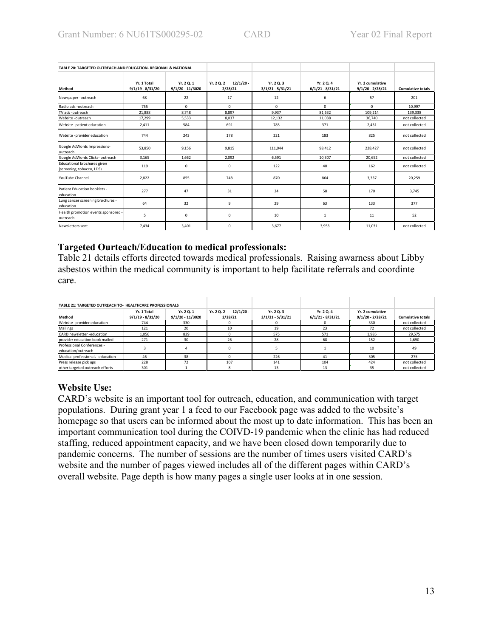| TABLE 20: TARGETED OUTREACH AND EDUCATION- REGIONAL & NATIONAL |                                   |                                  |                                      |                                  |                                  |                                        |                          |
|----------------------------------------------------------------|-----------------------------------|----------------------------------|--------------------------------------|----------------------------------|----------------------------------|----------------------------------------|--------------------------|
| Method                                                         | Yr. 1 Total<br>$9/1/19 - 8/31/20$ | Yr. 2 Q. 1<br>$9/1/20 - 11/3020$ | $12/1/20$ -<br>Yr. 2 Q. 2<br>2/28/21 | Yr. 2 Q. 3<br>$3/1/21 - 5/31/21$ | Yr. 2 Q. 4<br>$6/1/21 - 8/31/21$ | Yr. 2 cumulative<br>$9/1/20 - 2/28/21$ | <b>Cumulative totals</b> |
| Newspaper-outreach                                             | 68                                | 22                               | 17                                   | 12                               | 6                                | 57                                     | 201                      |
| Radio ads -outreach                                            | 755                               | $\Omega$                         | 0                                    | $\Omega$                         | $\Omega$                         | 0                                      | 10.997                   |
| TV ads -outreach                                               | 21,888                            | 8.748                            | 8.897                                | 9.937                            | 81.632                           | 109,214                                | 139.338                  |
| Website -outreach                                              | 17,299                            | 5,533                            | 8,037                                | 12,132                           | 11,038                           | 36,740                                 | not collected            |
| Website -patient education                                     | 2.411                             | 584                              | 691                                  | 785                              | 371                              | 2.431                                  | not collected            |
| Website -provider education                                    | 744                               | 243                              | 178                                  | 221                              | 183                              | 825                                    | not collected            |
| Google AdWords Impressions-<br>outreach                        | 53.850                            | 9.156                            | 9.815                                | 111,044                          | 98.412                           | 228,427                                | not collected            |
| Google AdWords Clicks- outreach                                | 3.165                             | 1.662                            | 2.092                                | 6.591                            | 10.307                           | 20.652                                 | not collected            |
| Educational brochures given<br>(screening, tobacco, LDS)       | 119                               | 0                                | 0                                    | 122                              | 40                               | 162                                    | not collected            |
| YouTube Channel                                                | 2,822                             | 855                              | 748                                  | 870                              | 864                              | 3,337                                  | 20,259                   |
| Patient Education booklets -<br>education                      | 277                               | 47                               | 31                                   | 34                               | 58                               | 170                                    | 3,745                    |
| Lung cancer screening brochures -<br>education                 | 64                                | 32                               | 9                                    | 29                               | 63                               | 133                                    | 377                      |
| Health promotion events sponsored -<br>outreach                | 5                                 | $\Omega$                         | 0                                    | 10                               | $\mathbf{1}$                     | 11                                     | 52                       |
| Newsletters sent                                               | 7,434                             | 3,401                            | 0                                    | 3,677                            | 3,953                            | 11,031                                 | not collected            |

### **Targeted Ourteach/Education to medical professionals:**

Table 21 details efforts directed towards medical professionals. Raising awarness about Libby asbestos within the medical community is important to help facilitate referrals and coordinte care.

| TABLE 21: TARGETED OUTREACH TO- HEALTHCARE PROFESSIONALS |                                   |                                |                                      |                                  |                                  |                                        |                          |
|----------------------------------------------------------|-----------------------------------|--------------------------------|--------------------------------------|----------------------------------|----------------------------------|----------------------------------------|--------------------------|
| Method                                                   | Yr. 1 Total<br>$9/1/19 - 8/31/20$ | Yr. 2 Q. 1<br>9/1/20 - 11/3020 | $12/1/20 -$<br>Yr. 2 Q. 2<br>2/28/21 | Yr. 2 Q. 3<br>$3/1/21 - 5/31/21$ | Yr. 2 Q. 4<br>$6/1/21 - 8/31/21$ | Yr. 2 cumulative<br>$9/1/20 - 2/28/21$ | <b>Cumulative totals</b> |
| Website -provider education                              | 744                               | 330                            |                                      |                                  |                                  | 330                                    | not collected            |
| Mailings                                                 | 121                               | 20                             | 10                                   | 19                               | 23                               | 72                                     | not collected            |
| CARD newsletter -education                               | 1.056                             | 839                            | o                                    | 575                              | 571                              | 1.985                                  | 29.575                   |
| orrovider education book mailed                          | 271                               | 30                             | 26                                   | 28                               | 68                               | 152                                    | 1,690                    |
| Professional Conferences -<br>education/outreach         |                                   |                                |                                      |                                  |                                  | 10                                     | 49                       |
| Medical professionals -education                         | 46                                | 38                             |                                      | 226                              | 41                               | 305                                    | 275                      |
| Press release pick ups                                   | 228                               | 72                             | 107                                  | 141                              | 104                              | 424                                    | not collected            |
| other targeted outreach efforts                          | 301                               |                                |                                      | 13                               | 13                               | 35                                     | not collected            |

## **Website Use:**

CARD's website is an important tool for outreach, education, and communication with target populations. During grant year 1 a feed to our Facebook page was added to the website's homepage so that users can be informed about the most up to date information. This has been an important communication tool during the COIVD-19 pandemic when the clinic has had reduced staffing, reduced appointment capacity, and we have been closed down temporarily due to pandemic concerns. The number of sessions are the number of times users visited CARD's website and the number of pages viewed includes all of the different pages within CARD's overall website. Page depth is how many pages a single user looks at in one session.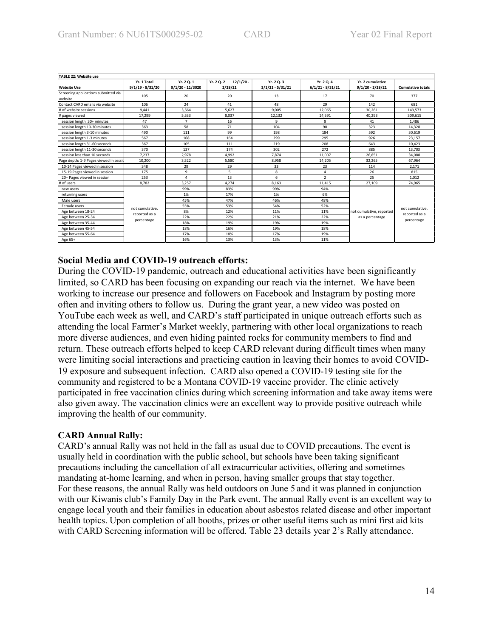| TABLE 22: Website use                           |                                   |                                  |                                      |                                  |                                  |                                        |                          |  |  |  |
|-------------------------------------------------|-----------------------------------|----------------------------------|--------------------------------------|----------------------------------|----------------------------------|----------------------------------------|--------------------------|--|--|--|
| <b>Website Use</b>                              | Yr. 1 Total<br>$9/1/19 - 8/31/20$ | Yr. 2 Q. 1<br>$9/1/20 - 11/3020$ | $12/1/20$ -<br>Yr. 2 Q. 2<br>2/28/21 | Yr. 2 Q. 3<br>$3/1/21 - 5/31/21$ | Yr. 2 Q. 4<br>$6/1/21 - 8/31/21$ | Yr. 2 cumulative<br>$9/1/20 - 2/28/21$ | <b>Cumulative totals</b> |  |  |  |
| Screening applications submitted via<br>website | 105                               | 20                               | 20                                   | 13                               | 17                               | 70                                     | 377                      |  |  |  |
| Contact CARD emails via website                 | 106                               | 24                               | 41                                   | 48                               | 29                               | 142                                    | 681                      |  |  |  |
| # of website sessions                           | 9,441                             | 3,564                            | 5.627                                | 9.005                            | 12.065                           | 30,261                                 | 143.573                  |  |  |  |
| # pages viewed                                  | 17,299                            | 5,533                            | 8,037                                | 12,132                           | 14,591                           | 40,293                                 | 309.615                  |  |  |  |
| session length 30+ minutes                      | 47                                | $\overline{7}$                   | 16                                   | 9                                | 9                                | 41                                     | 1,486                    |  |  |  |
| session length 10-30 minutes                    | 363                               | 58                               | 71                                   | 104                              | 90                               | 323                                    | 14,328                   |  |  |  |
| session length 3-10 minutes                     | 490                               | 111                              | 99                                   | 198                              | 184                              | 592                                    | 30,619                   |  |  |  |
| session length 1-3 minutes                      | 567                               | 168                              | 164                                  | 299                              | 295                              | 926                                    | 23,157                   |  |  |  |
| session length 31-60 seconds                    | 367                               | 105                              | 111                                  | 219                              | 208                              | 643                                    | 10.423                   |  |  |  |
| session length 11-30 seconds                    | 370                               | 137                              | 174                                  | 302                              | 272                              | 885                                    | 13,703                   |  |  |  |
| session less than 10 seconds                    | 7.237                             | 2,978                            | 4,992                                | 7.874                            | 11.007                           | 26,851                                 | 34,088                   |  |  |  |
| Page depth: 1-9 Pages viewed in sessio          | 10.200                            | 3,522                            | 5.580                                | 8.958                            | 14,205                           | 32,265                                 | 67.964                   |  |  |  |
| 10-14 Pages viewed in session                   | 348                               | 29                               | 29                                   | 33                               | 23                               | 114                                    | 2,171                    |  |  |  |
| 15-19 Pages viewed in session                   | 175                               | 9                                | 5                                    | 8                                | 4                                | 26                                     | 815                      |  |  |  |
| 20+ Pages viewed in session                     | 253                               | 4                                | 13                                   | 6                                | $\mathcal{P}$                    | 25                                     | 1,012                    |  |  |  |
| # of users                                      | 8.782                             | 3,257                            | 4,274                                | 8.163                            | 11,415                           | 27,109                                 | 74,965                   |  |  |  |
| new users                                       |                                   | 99%                              | 83%                                  | 99%                              | 94%                              |                                        |                          |  |  |  |
| returning users                                 |                                   | 1%                               | 17%                                  | 1%                               | 6%                               |                                        |                          |  |  |  |
| Male users                                      |                                   | 45%                              | 47%                                  | 46%                              | 48%                              |                                        |                          |  |  |  |
| Female users                                    | not cumulative.                   | 55%                              | 53%                                  | 54%                              | 52%                              |                                        | not cumulative.          |  |  |  |
| Age between 18-24                               | reported as a                     | 8%                               | 12%                                  | 11%                              | 11%                              | not cumulative, reported               | reported as a            |  |  |  |
| Age between 25-34                               |                                   | 22%                              | 22%                                  | 21%                              | 22%                              | as a percentage                        |                          |  |  |  |
| Age between 35-44                               | percentage                        | 18%                              | 19%                                  | 19%                              | 19%                              |                                        | percentage               |  |  |  |
| Age between 45-54                               |                                   | 18%                              | 16%                                  | 19%                              | 18%                              |                                        |                          |  |  |  |
| Age between 55-64                               |                                   | 17%                              | 18%                                  | 17%                              | 19%                              |                                        |                          |  |  |  |
| Age 65+                                         |                                   | 16%                              | 13%                                  | 13%                              | 11%                              |                                        |                          |  |  |  |

### **TABLE 22: Website use**

### **Social Media and COVID-19 outreach efforts:**

During the COVID-19 pandemic, outreach and educational activities have been significantly limited, so CARD has been focusing on expanding our reach via the internet. We have been working to increase our presence and followers on Facebook and Instagram by posting more often and inviting others to follow us. During the grant year, a new video was posted on YouTube each week as well, and CARD's staff participated in unique outreach efforts such as attending the local Farmer's Market weekly, partnering with other local organizations to reach more diverse audiences, and even hiding painted rocks for community members to find and return. These outreach efforts helped to keep CARD relevant during difficult times when many were limiting social interactions and practicing caution in leaving their homes to avoid COVID-19 exposure and subsequent infection. CARD also opened a COVID-19 testing site for the community and registered to be a Montana COVID-19 vaccine provider. The clinic actively participated in free vaccination clinics during which screening information and take away items were also given away. The vaccination clinics were an excellent way to provide positive outreach while improving the health of our community.

### **CARD Annual Rally:**

CARD's annual Rally was not held in the fall as usual due to COVID precautions. The event is usually held in coordination with the public school, but schools have been taking significant precautions including the cancellation of all extracurricular activities, offering and sometimes mandating at-home learning, and when in person, having smaller groups that stay together. For these reasons, the annual Rally was held outdoors on June 5 and it was planned in conjunction with our Kiwanis club's Family Day in the Park event. The annual Rally event is an excellent way to engage local youth and their families in education about asbestos related disease and other important health topics. Upon completion of all booths, prizes or other useful items such as mini first aid kits with CARD Screening information will be offered. Table 23 details year 2's Rally attendance.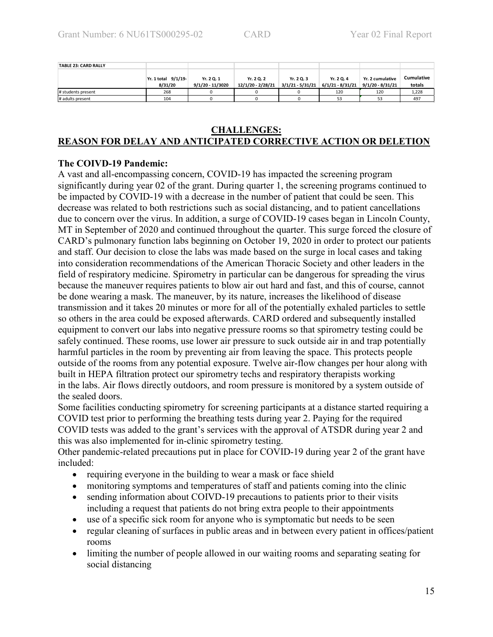| <b>TABLE 23: CARD RALLY</b> |                                |                                |                                 |                                  |                                  |                                        |                             |
|-----------------------------|--------------------------------|--------------------------------|---------------------------------|----------------------------------|----------------------------------|----------------------------------------|-----------------------------|
|                             | Yr. 1 total 9/1/19-<br>8/31/20 | Yr. 2 Q. 1<br>9/1/20 - 11/3020 | Yr. 2 Q. 2<br>12/1/20 - 2/28/21 | Yr. 2 Q. 3<br>$3/1/21 - 5/31/21$ | Yr. 2 Q. 4<br>$6/1/21 - 8/31/21$ | Yr. 2 cumulative<br>$9/1/20 - 8/31/21$ | <b>Cumulative</b><br>totals |
| # students present          | 268                            |                                |                                 |                                  | 120                              | 120                                    | 1,228                       |
| # adults present            | 104                            |                                |                                 |                                  |                                  | 53                                     | 497                         |

### **CHALLENGES: REASON FOR DELAY AND ANTICIPATED CORRECTIVE ACTION OR DELETION**

# **The COIVD-19 Pandemic:**

A vast and all-encompassing concern, COVID-19 has impacted the screening program significantly during year 02 of the grant. During quarter 1, the screening programs continued to be impacted by COVID-19 with a decrease in the number of patient that could be seen. This decrease was related to both restrictions such as social distancing, and to patient cancellations due to concern over the virus. In addition, a surge of COVID-19 cases began in Lincoln County, MT in September of 2020 and continued throughout the quarter. This surge forced the closure of CARD's pulmonary function labs beginning on October 19, 2020 in order to protect our patients and staff. Our decision to close the labs was made based on the surge in local cases and taking into consideration recommendations of the American Thoracic Society and other leaders in the field of respiratory medicine. Spirometry in particular can be dangerous for spreading the virus because the maneuver requires patients to blow air out hard and fast, and this of course, cannot be done wearing a mask. The maneuver, by its nature, increases the likelihood of disease transmission and it takes 20 minutes or more for all of the potentially exhaled particles to settle so others in the area could be exposed afterwards. CARD ordered and subsequently installed equipment to convert our labs into negative pressure rooms so that spirometry testing could be safely continued. These rooms, use lower air pressure to suck outside air in and trap potentially harmful particles in the room by preventing air from leaving the space. This protects people outside of the rooms from any potential exposure. Twelve air-flow changes per hour along with built in HEPA filtration protect our spirometry techs and respiratory therapists working in the labs. Air flows directly outdoors, and room pressure is monitored by a system outside of the sealed doors.

Some facilities conducting spirometry for screening participants at a distance started requiring a COVID test prior to performing the breathing tests during year 2. Paying for the required COVID tests was added to the grant's services with the approval of ATSDR during year 2 and this was also implemented for in-clinic spirometry testing.

Other pandemic-related precautions put in place for COVID-19 during year 2 of the grant have included:

- requiring everyone in the building to wear a mask or face shield
- monitoring symptoms and temperatures of staff and patients coming into the clinic
- sending information about COIVD-19 precautions to patients prior to their visits including a request that patients do not bring extra people to their appointments
- use of a specific sick room for anyone who is symptomatic but needs to be seen
- regular cleaning of surfaces in public areas and in between every patient in offices/patient rooms
- limiting the number of people allowed in our waiting rooms and separating seating for social distancing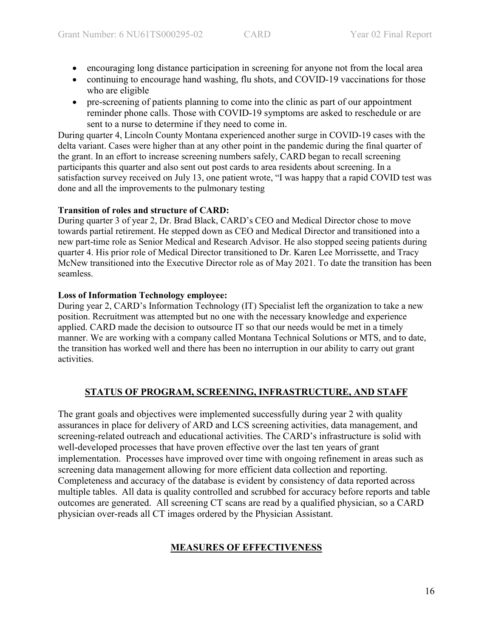- encouraging long distance participation in screening for anyone not from the local area
- continuing to encourage hand washing, flu shots, and COVID-19 vaccinations for those who are eligible
- pre-screening of patients planning to come into the clinic as part of our appointment reminder phone calls. Those with COVID-19 symptoms are asked to reschedule or are sent to a nurse to determine if they need to come in.

During quarter 4, Lincoln County Montana experienced another surge in COVID-19 cases with the delta variant. Cases were higher than at any other point in the pandemic during the final quarter of the grant. In an effort to increase screening numbers safely, CARD began to recall screening participants this quarter and also sent out post cards to area residents about screening. In a satisfaction survey received on July 13, one patient wrote, "I was happy that a rapid COVID test was done and all the improvements to the pulmonary testing

# **Transition of roles and structure of CARD:**

During quarter 3 of year 2, Dr. Brad Black, CARD's CEO and Medical Director chose to move towards partial retirement. He stepped down as CEO and Medical Director and transitioned into a new part-time role as Senior Medical and Research Advisor. He also stopped seeing patients during quarter 4. His prior role of Medical Director transitioned to Dr. Karen Lee Morrissette, and Tracy McNew transitioned into the Executive Director role as of May 2021. To date the transition has been seamless.

# **Loss of Information Technology employee:**

During year 2, CARD's Information Technology (IT) Specialist left the organization to take a new position. Recruitment was attempted but no one with the necessary knowledge and experience applied. CARD made the decision to outsource IT so that our needs would be met in a timely manner. We are working with a company called Montana Technical Solutions or MTS, and to date, the transition has worked well and there has been no interruption in our ability to carry out grant activities.

# **STATUS OF PROGRAM, SCREENING, INFRASTRUCTURE, AND STAFF**

The grant goals and objectives were implemented successfully during year 2 with quality assurances in place for delivery of ARD and LCS screening activities, data management, and screening-related outreach and educational activities. The CARD's infrastructure is solid with well-developed processes that have proven effective over the last ten years of grant implementation. Processes have improved over time with ongoing refinement in areas such as screening data management allowing for more efficient data collection and reporting. Completeness and accuracy of the database is evident by consistency of data reported across multiple tables. All data is quality controlled and scrubbed for accuracy before reports and table outcomes are generated. All screening CT scans are read by a qualified physician, so a CARD physician over-reads all CT images ordered by the Physician Assistant.

# **MEASURES OF EFFECTIVENESS**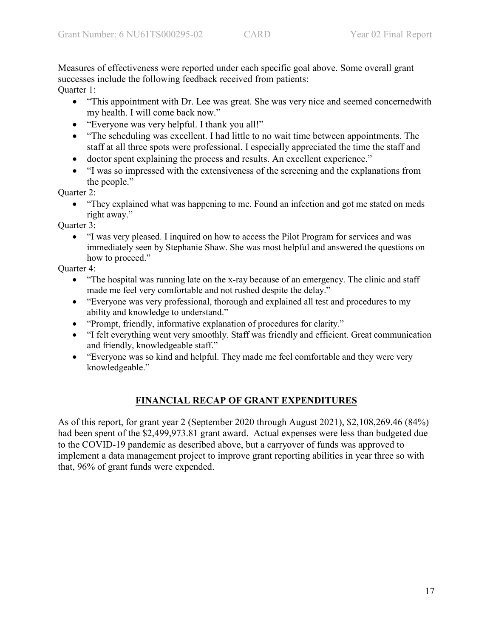Measures of effectiveness were reported under each specific goal above. Some overall grant successes include the following feedback received from patients: Quarter 1:

- "This appointment with Dr. Lee was great. She was very nice and seemed concernedwith my health. I will come back now."
- "Everyone was very helpful. I thank you all!"
- "The scheduling was excellent. I had little to no wait time between appointments. The staff at all three spots were professional. I especially appreciated the time the staff and
- doctor spent explaining the process and results. An excellent experience."
- "I was so impressed with the extensiveness of the screening and the explanations from the people."

Quarter 2:

• "They explained what was happening to me. Found an infection and got me stated on meds right away."

Quarter 3:

• "I was very pleased. I inquired on how to access the Pilot Program for services and was immediately seen by Stephanie Shaw. She was most helpful and answered the questions on how to proceed."

Quarter 4:

- "The hospital was running late on the x-ray because of an emergency. The clinic and staff made me feel very comfortable and not rushed despite the delay."
- "Everyone was very professional, thorough and explained all test and procedures to my ability and knowledge to understand."
- "Prompt, friendly, informative explanation of procedures for clarity."
- "I felt everything went very smoothly. Staff was friendly and efficient. Great communication and friendly, knowledgeable staff."
- "Everyone was so kind and helpful. They made me feel comfortable and they were very knowledgeable."

# **FINANCIAL RECAP OF GRANT EXPENDITURES**

As of this report, for grant year 2 (September 2020 through August 2021), \$2,108,269.46 (84%) had been spent of the \$2,499,973.81 grant award. Actual expenses were less than budgeted due to the COVID-19 pandemic as described above, but a carryover of funds was approved to implement a data management project to improve grant reporting abilities in year three so with that, 96% of grant funds were expended.